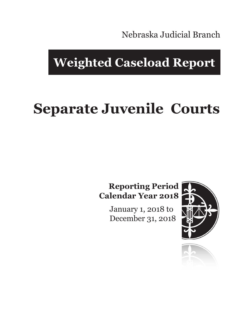Nebraska Judicial Branch

## **Weighted Caseload Report**

# **Separate Juvenile Courts**

#### **Reporting Period Calendar Year 2018**

January 1, 2018 to December 31, 2018



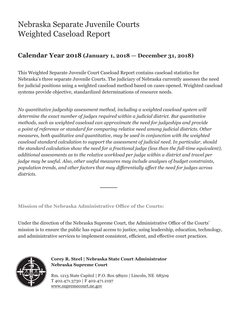### Nebraska Separate Juvenile Courts Weighted Caseload Report

#### **Calendar Year 2018 (January 1, 2018 — December 31, 2018)**

This Weighted Separate Juvenile Court Caseload Report contains caseload statistics for Nebraska's three separate Juvenile Courts. The judiciary of Nebraska currently assesses the need for judicial positions using a weighted caseload method based on cases opened. Weighted caseload systems provide objective, standardized determinations of resource needs.

*No quantitative judgeship assessment method, including a weighted caseload system will determine the exact number of judges required within a judicial district. But quantitative methods, such as weighted caseload can approximate the need for judgeships and provide a point of reference or standard for comparing relative need among judicial districts. Other measures, both qualitative and quantitative, may be used in conjunction with the weighted caseload standard calculation to support the assessment of judicial need. In particular, should the standard calculation show the need for a fractional judge (less than the full-time equivalent), additional assessments as to the relative workload per judge within a district and travel per judge may be useful. Also, other useful measures may include analyses of budget constraints, population trends, and other factors that may differentially affect the need for judges across districts.*

**Mission of the Nebraska Administrative Office of the Courts:**

Under the direction of the Nebraska Supreme Court, the Administrative Office of the Courts' mission is to ensure the public has equal access to justice, using leadership, education, technology, and administrative services to implement consistent, efficient, and effective court practices.



**Corey R. Steel | Nebraska State Court Administrator Nebraska Supreme Court**

Rm. 1213 State Capitol | P.O. Box 98910 | Lincoln, NE 68509 T 402.471.3730 | F 402.471.2197 www.supremecourt.ne.gov